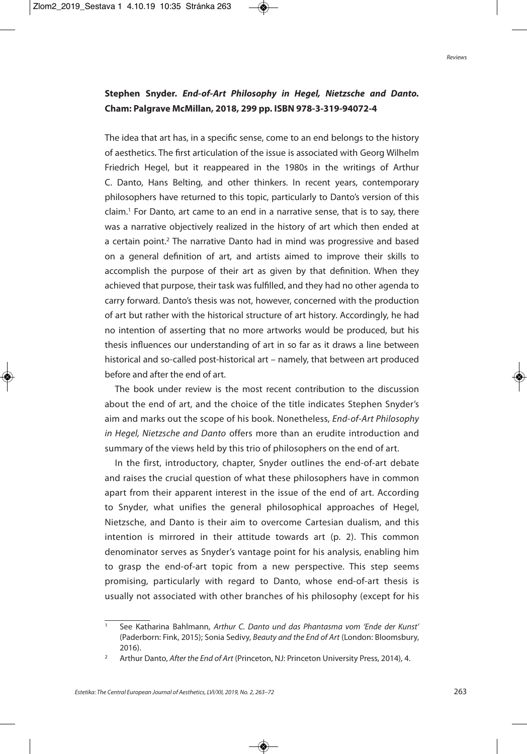## **Stephen Snyder.** *End-of-Art Philosophy in Hegel, Nietzsche and Danto.* **Cham: Palgrave McMillan, 2018, 299 pp. ISBN 978-3-319-94072-4**

The idea that art has, in a specific sense, come to an end belongs to the history of aesthetics. The first articulation of the issue is associated with Georg Wilhelm Friedrich Hegel, but it reappeared in the 1980s in the writings of Arthur C. Danto, Hans Belting, and other thinkers. In recent years, contemporary philosophers have returned to this topic, particularly to Danto's version of this claim. <sup>1</sup> For Danto, art came to an end in a narrative sense, that is to say, there was a narrative objectively realized in the history of art which then ended at a certain point.<sup>2</sup> The narrative Danto had in mind was progressive and based on a general definition of art, and artists aimed to improve their skills to accomplish the purpose of their art as given by that definition. When they achieved that purpose, their task was fulfilled, and they had no other agenda to carry forward. Danto's thesis was not, however, concerned with the production of art but rather with the historical structure of art history. Accordingly, he had no intention of asserting that no more artworks would be produced, but his thesis influences our understanding of art in so far as it draws a line between historical and so-called post-historical art – namely, that between art produced before and after the end of art.

The book under review is the most recent contribution to the discussion about the end of art, and the choice of the title indicates Stephen Snyder's aim and marks out the scope of his book. Nonetheless, End-of-Art Philosophy in Hegel, Nietzsche and Danto offers more than an erudite introduction and summary of the views held by this trio of philosophers on the end of art.

In the first, introductory, chapter, Snyder outlines the end-of-art debate and raises the crucial question of what these philosophers have in common apart from their apparent interest in the issue of the end of art. According to Snyder, what unifies the general philosophical approaches of Hegel, Nietzsche, and Danto is their aim to overcome Cartesian dualism, and this intention is mirrored in their attitude towards art (p. 2). This common denominator serves as Snyder's vantage point for his analysis, enabling him to grasp the end-of-art topic from a new perspective. This step seems promising, particularly with regard to Danto, whose end-of-art thesis is usually not associated with other branches of his philosophy (except for his

<sup>1</sup> See Katharina Bahlmann, Arthur C. Danto und das Phantasma vom 'Ende der Kunst' (Paderborn: Fink, 2015); Sonia Sedivy, Beauty and the End of Art (London: Bloomsbury, 2016).

Arthur Danto, After the End of Art (Princeton, NJ: Princeton University Press, 2014), 4.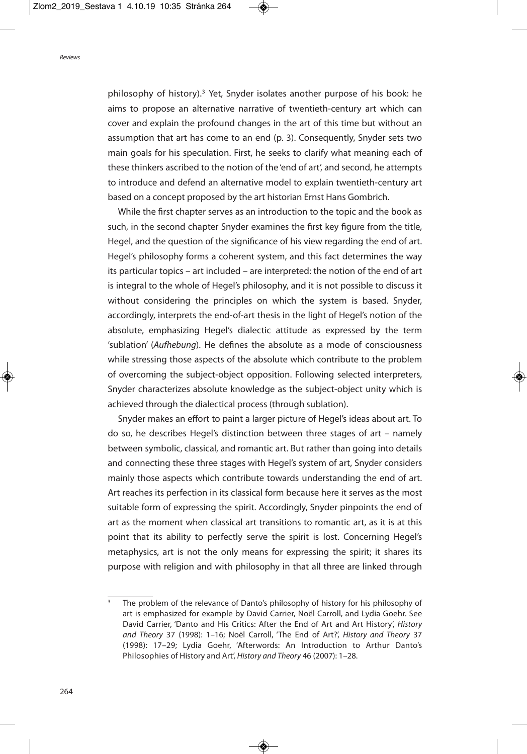philosophy of history). <sup>3</sup> Yet, Snyder isolates another purpose of his book: he aims to propose an alternative narrative of twentieth-century art which can cover and explain the profound changes in the art of this time but without an assumption that art has come to an end (p. 3). Consequently, Snyder sets two main goals for his speculation. First, he seeks to clarify what meaning each of these thinkers ascribed to the notion of the 'end of art', and second, he attempts to introduce and defend an alternative model to explain twentieth-century art based on a concept proposed by the art historian Ernst Hans Gombrich.

While the first chapter serves as an introduction to the topic and the book as such, in the second chapter Snyder examines the first key figure from the title, Hegel, and the question of the significance of his view regarding the end of art. Hegel's philosophy forms a coherent system, and this fact determines the way its particular topics – art included – are interpreted: the notion of the end of art is integral to the whole of Hegel's philosophy, and it is not possible to discuss it without considering the principles on which the system is based. Snyder, accordingly, interprets the end-of-art thesis in the light of Hegel's notion of the absolute, emphasizing Hegel's dialectic attitude as expressed by the term 'sublation' (Aufhebung). He defines the absolute as a mode of consciousness while stressing those aspects of the absolute which contribute to the problem of overcoming the subject-object opposition. Following selected interpreters, Snyder characterizes absolute knowledge as the subject-object unity which is achieved through the dialectical process (through sublation).

Snyder makes an effort to paint a larger picture of Hegel's ideas about art. To do so, he describes Hegel's distinction between three stages of art – namely between symbolic, classical, and romantic art. But rather than going into details and connecting these three stages with Hegel's system of art, Snyder considers mainly those aspects which contribute towards understanding the end of art. Art reaches its perfection in its classical form because here it serves as the most suitable form of expressing the spirit. Accordingly, Snyder pinpoints the end of art as the moment when classical art transitions to romantic art, as it is at this point that its ability to perfectly serve the spirit is lost. Concerning Hegel's metaphysics, art is not the only means for expressing the spirit; it shares its purpose with religion and with philosophy in that all three are linked through

The problem of the relevance of Danto's philosophy of history for his philosophy of art is emphasized for example by David Carrier, Noël Carroll, and Lydia Goehr. See David Carrier, 'Danto and His Critics: After the End of Art and Art History', History and Theory 37 (1998): 1–16; Noël Carroll, 'The End of Art?', History and Theory 37 (1998): 17–29; Lydia Goehr, 'Afterwords: An Introduction to Arthur Danto's Philosophies of History and Art', History and Theory 46 (2007): 1–28.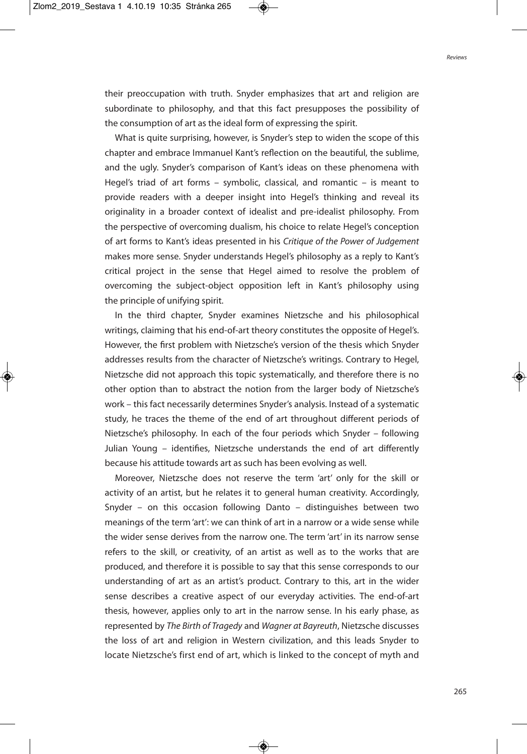their preoccupation with truth. Snyder emphasizes that art and religion are subordinate to philosophy, and that this fact presupposes the possibility of the consumption of art as the ideal form of expressing the spirit.

What is quite surprising, however, is Snyder's step to widen the scope of this chapter and embrace Immanuel Kant's reflection on the beautiful, the sublime, and the ugly. Snyder's comparison of Kant's ideas on these phenomena with Hegel's triad of art forms – symbolic, classical, and romantic – is meant to provide readers with a deeper insight into Hegel's thinking and reveal its originality in a broader context of idealist and pre-idealist philosophy. From the perspective of overcoming dualism, his choice to relate Hegel's conception of art forms to Kant's ideas presented in his Critique of the Power of Judgement makes more sense. Snyder understands Hegel's philosophy as a reply to Kant's critical project in the sense that Hegel aimed to resolve the problem of overcoming the subject-object opposition left in Kant's philosophy using the principle of unifying spirit.

In the third chapter, Snyder examines Nietzsche and his philosophical writings, claiming that his end-of-art theory constitutes the opposite of Hegel's. However, the first problem with Nietzsche's version of the thesis which Snyder addresses results from the character of Nietzsche's writings. Contrary to Hegel, Nietzsche did not approach this topic systematically, and therefore there is no other option than to abstract the notion from the larger body of Nietzsche's work – this fact necessarily determines Snyder's analysis. Instead of a systematic study, he traces the theme of the end of art throughout different periods of Nietzsche's philosophy. In each of the four periods which Snyder – following Julian Young – identifies, Nietzsche understands the end of art differently because his attitude towards art as such has been evolving as well.

Moreover, Nietzsche does not reserve the term 'art' only for the skill or activity of an artist, but he relates it to general human creativity. Accordingly, Snyder – on this occasion following Danto – distinguishes between two meanings of the term 'art': we can think of art in a narrow or a wide sense while the wider sense derives from the narrow one. The term 'art' in its narrow sense refers to the skill, or creativity, of an artist as well as to the works that are produced, and therefore it is possible to say that this sense corresponds to our understanding of art as an artist's product. Contrary to this, art in the wider sense describes a creative aspect of our everyday activities. The end-of-art thesis, however, applies only to art in the narrow sense. In his early phase, as represented by The Birth of Tragedy and Wagner at Bayreuth, Nietzsche discusses the loss of art and religion in Western civilization, and this leads Snyder to locate Nietzsche's first end of art, which is linked to the concept of myth and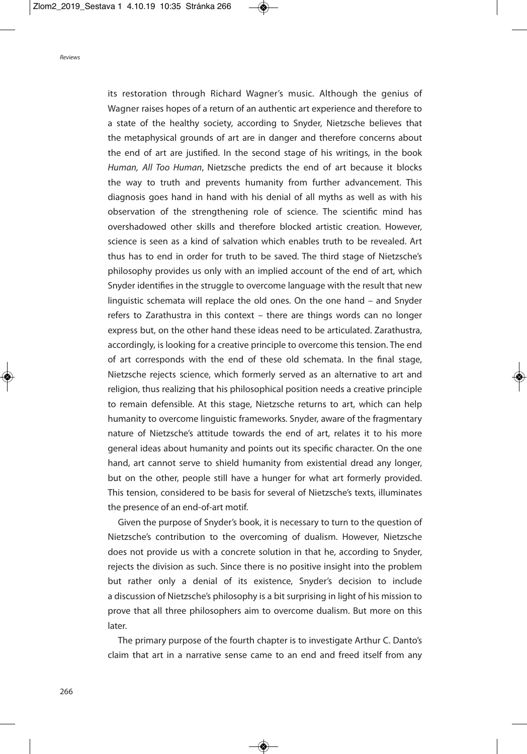its restoration through Richard Wagner's music. Although the genius of Wagner raises hopes of a return of an authentic art experience and therefore to a state of the healthy society, according to Snyder, Nietzsche believes that the metaphysical grounds of art are in danger and therefore concerns about the end of art are justified. In the second stage of his writings, in the book Human, All Too Human, Nietzsche predicts the end of art because it blocks the way to truth and prevents humanity from further advancement. This diagnosis goes hand in hand with his denial of all myths as well as with his observation of the strengthening role of science. The scientific mind has overshadowed other skills and therefore blocked artistic creation. However, science is seen as a kind of salvation which enables truth to be revealed. Art thus has to end in order for truth to be saved. The third stage of Nietzsche's philosophy provides us only with an implied account of the end of art, which Snyder identifies in the struggle to overcome language with the result that new linguistic schemata will replace the old ones. On the one hand – and Snyder refers to Zarathustra in this context – there are things words can no longer express but, on the other hand these ideas need to be articulated. Zarathustra, accordingly, is looking for a creative principle to overcome this tension. The end of art corresponds with the end of these old schemata. In the final stage, Nietzsche rejects science, which formerly served as an alternative to art and religion, thus realizing that his philosophical position needs a creative principle to remain defensible. At this stage, Nietzsche returns to art, which can help humanity to overcome linguistic frameworks. Snyder, aware of the fragmentary nature of Nietzsche's attitude towards the end of art, relates it to his more general ideas about humanity and points out its specific character. On the one hand, art cannot serve to shield humanity from existential dread any longer, but on the other, people still have a hunger for what art formerly provided. This tension, considered to be basis for several of Nietzsche's texts, illuminates the presence of an end-of-art motif.

Given the purpose of Snyder's book, it is necessary to turn to the question of Nietzsche's contribution to the overcoming of dualism. However, Nietzsche does not provide us with a concrete solution in that he, according to Snyder, rejects the division as such. Since there is no positive insight into the problem but rather only a denial of its existence, Snyder's decision to include a discussion of Nietzsche's philosophy is a bit surprising in light of his mission to prove that all three philosophers aim to overcome dualism. But more on this later.

The primary purpose of the fourth chapter is to investigate Arthur C. Danto's claim that art in a narrative sense came to an end and freed itself from any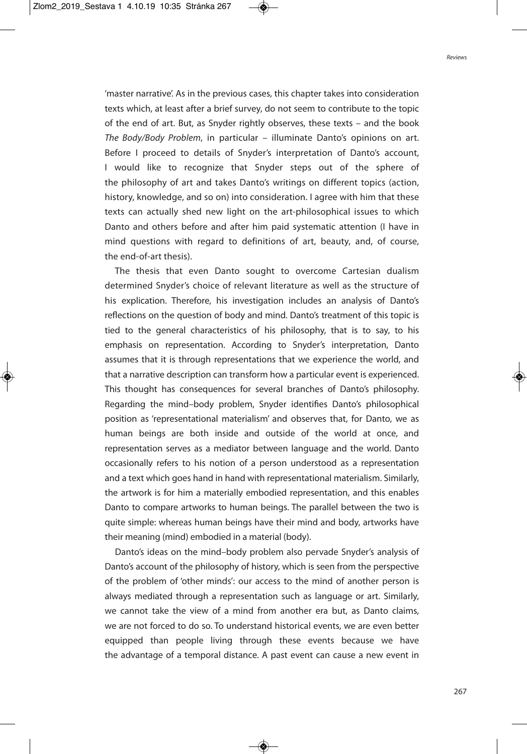'master narrative'. As in the previous cases, this chapter takes into consideration texts which, at least after a brief survey, do not seem to contribute to the topic of the end of art. But, as Snyder rightly observes, these texts – and the book The Body/Body Problem, in particular – illuminate Danto's opinions on art. Before I proceed to details of Snyder's interpretation of Danto's account, I would like to recognize that Snyder steps out of the sphere of the philosophy of art and takes Danto's writings on different topics (action, history, knowledge, and so on) into consideration. I agree with him that these texts can actually shed new light on the art-philosophical issues to which Danto and others before and after him paid systematic attention (I have in mind questions with regard to definitions of art, beauty, and, of course, the end-of-art thesis).

The thesis that even Danto sought to overcome Cartesian dualism determined Snyder's choice of relevant literature as well as the structure of his explication. Therefore, his investigation includes an analysis of Danto's reflections on the question of body and mind. Danto's treatment of this topic is tied to the general characteristics of his philosophy, that is to say, to his emphasis on representation. According to Snyder's interpretation, Danto assumes that it is through representations that we experience the world, and that a narrative description can transform how a particular event is experienced. This thought has consequences for several branches of Danto's philosophy. Regarding the mind–body problem, Snyder identifies Danto's philosophical position as 'representational materialism' and observes that, for Danto, we as human beings are both inside and outside of the world at once, and representation serves as a mediator between language and the world. Danto occasionally refers to his notion of a person understood as a representation and a text which goes hand in hand with representational materialism. Similarly, the artwork is for him a materially embodied representation, and this enables Danto to compare artworks to human beings. The parallel between the two is quite simple: whereas human beings have their mind and body, artworks have their meaning (mind) embodied in a material (body).

Danto's ideas on the mind–body problem also pervade Snyder's analysis of Danto's account of the philosophy of history, which is seen from the perspective of the problem of 'other minds': our access to the mind of another person is always mediated through a representation such as language or art. Similarly, we cannot take the view of a mind from another era but, as Danto claims, we are not forced to do so. To understand historical events, we are even better equipped than people living through these events because we have the advantage of a temporal distance. A past event can cause a new event in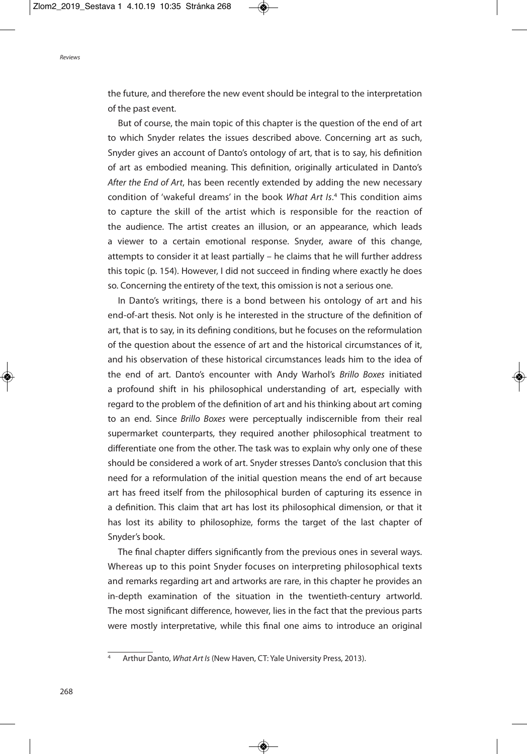the future, and therefore the new event should be integral to the interpretation of the past event.

But of course, the main topic of this chapter is the question of the end of art to which Snyder relates the issues described above. Concerning art as such, Snyder gives an account of Danto's ontology of art, that is to say, his definition of art as embodied meaning. This definition, originally articulated in Danto's After the End of Art, has been recently extended by adding the new necessary condition of 'wakeful dreams' in the book What Art Is. <sup>4</sup> This condition aims to capture the skill of the artist which is responsible for the reaction of the audience. The artist creates an illusion, or an appearance, which leads a viewer to a certain emotional response. Snyder, aware of this change, attempts to consider it at least partially – he claims that he will further address this topic (p. 154). However, I did not succeed in finding where exactly he does so. Concerning the entirety of the text, this omission is not a serious one.

In Danto's writings, there is a bond between his ontology of art and his end-of-art thesis. Not only is he interested in the structure of the definition of art, that is to say, in its defining conditions, but he focuses on the reformulation of the question about the essence of art and the historical circumstances of it, and his observation of these historical circumstances leads him to the idea of the end of art. Danto's encounter with Andy Warhol's Brillo Boxes initiated a profound shift in his philosophical understanding of art, especially with regard to the problem of the definition of art and his thinking about art coming to an end. Since Brillo Boxes were perceptually indiscernible from their real supermarket counterparts, they required another philosophical treatment to differentiate one from the other. The task was to explain why only one of these should be considered a work of art. Snyder stresses Danto's conclusion that this need for a reformulation of the initial question means the end of art because art has freed itself from the philosophical burden of capturing its essence in a definition. This claim that art has lost its philosophical dimension, or that it has lost its ability to philosophize, forms the target of the last chapter of Snyder's book.

The final chapter differs significantly from the previous ones in several ways. Whereas up to this point Snyder focuses on interpreting philosophical texts and remarks regarding art and artworks are rare, in this chapter he provides an in-depth examination of the situation in the twentieth-century artworld. The most significant difference, however, lies in the fact that the previous parts were mostly interpretative, while this final one aims to introduce an original

Arthur Danto, What Art Is (New Haven, CT: Yale University Press, 2013).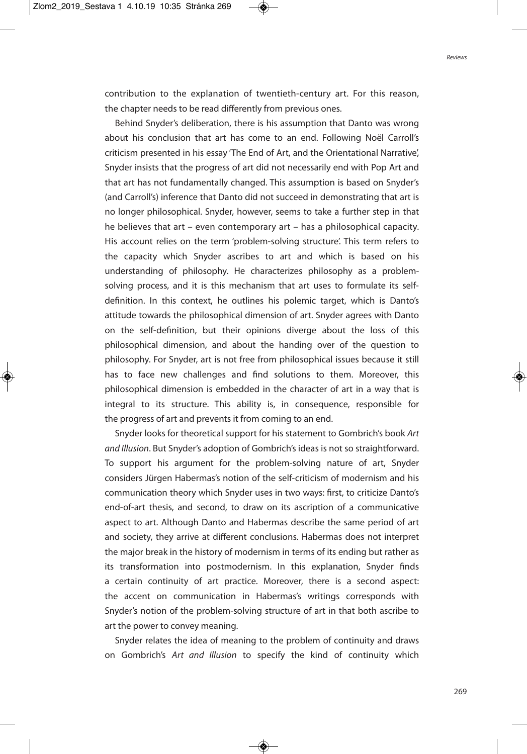contribution to the explanation of twentieth-century art. For this reason, the chapter needs to be read differently from previous ones.

Behind Snyder's deliberation, there is his assumption that Danto was wrong about his conclusion that art has come to an end. Following Noël Carroll's criticism presented in his essay 'The End of Art, and the Orientational Narrative', Snyder insists that the progress of art did not necessarily end with Pop Art and that art has not fundamentally changed. This assumption is based on Snyder's (and Carroll's) inference that Danto did not succeed in demonstrating that art is no longer philosophical. Snyder, however, seems to take a further step in that he believes that art – even contemporary art – has a philosophical capacity. His account relies on the term 'problem-solving structure'. This term refers to the capacity which Snyder ascribes to art and which is based on his understanding of philosophy. He characterizes philosophy as a problemsolving process, and it is this mechanism that art uses to formulate its selfdefinition. In this context, he outlines his polemic target, which is Danto's attitude towards the philosophical dimension of art. Snyder agrees with Danto on the self-definition, but their opinions diverge about the loss of this philosophical dimension, and about the handing over of the question to philosophy. For Snyder, art is not free from philosophical issues because it still has to face new challenges and find solutions to them. Moreover, this philosophical dimension is embedded in the character of art in a way that is integral to its structure. This ability is, in consequence, responsible for the progress of art and prevents it from coming to an end.

Snyder looks for theoretical support for his statement to Gombrich's book Art and Illusion. But Snyder's adoption of Gombrich's ideas is not so straightforward. To support his argument for the problem-solving nature of art, Snyder considers Jürgen Habermas's notion of the self-criticism of modernism and his communication theory which Snyder uses in two ways: first, to criticize Danto's end-of-art thesis, and second, to draw on its ascription of a communicative aspect to art. Although Danto and Habermas describe the same period of art and society, they arrive at different conclusions. Habermas does not interpret the major break in the history of modernism in terms of its ending but rather as its transformation into postmodernism. In this explanation, Snyder finds a certain continuity of art practice. Moreover, there is a second aspect: the accent on communication in Habermas's writings corresponds with Snyder's notion of the problem-solving structure of art in that both ascribe to art the power to convey meaning.

Snyder relates the idea of meaning to the problem of continuity and draws on Gombrich's Art and Illusion to specify the kind of continuity which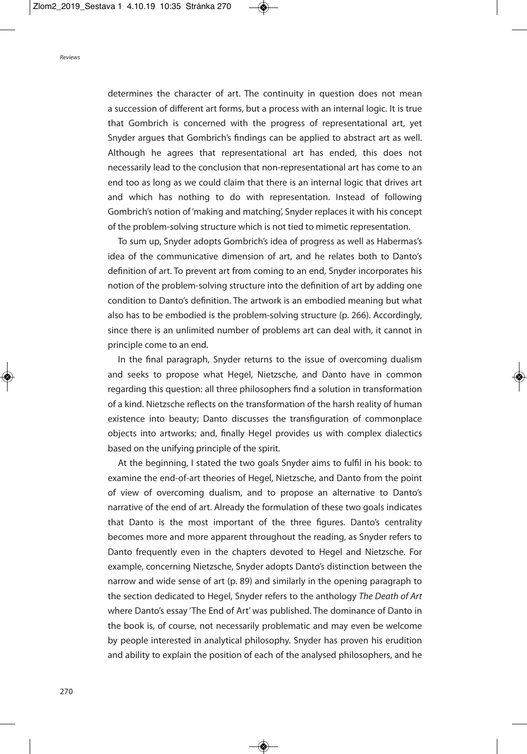determines the character of art. The continuity in question does not mean a succession of different art forms, but a process with an internal logic. It is true that Gombrich is concerned with the progress of representational art, yet Snyder argues that Gombrich's findings can be applied to abstract art as well. Although he agrees that representational art has ended, this does not necessarily lead to the conclusion that non-representational art has come to an end too as long as we could claim that there is an internal logic that drives art and which has nothing to do with representation. Instead of following Gombrich's notion of'making and matching', Snyder replaces it with his concept of the problem-solving structure which is not tied to mimetic representation.

To sum up, Snyder adopts Gombrich's idea of progress as well as Habermas's idea of the communicative dimension of art, and he relates both to Danto's definition of art. To prevent art from coming to an end, Snyder incorporates his notion of the problem-solving structure into the definition of art by adding one condition to Danto's definition. The artwork is an embodied meaning but what also has to be embodied is the problem-solving structure (p. 266). Accordingly, since there is an unlimited number of problems art can deal with, it cannot in principle come to an end.

In the final paragraph, Snyder returns to the issue of overcoming dualism and seeks to propose what Hegel, Nietzsche, and Danto have in common regarding this question: all three philosophers find a solution in transformation of a kind. Nietzsche reflects on the transformation of the harsh reality of human existence into beauty; Danto discusses the transfiguration of commonplace objects into artworks; and, finally Hegel provides us with complex dialectics based on the unifying principle of the spirit.

At the beginning, I stated the two goals Snyder aims to fulfil in his book: to examine the end-of-art theories of Hegel, Nietzsche, and Danto from the point of view of overcoming dualism, and to propose an alternative to Danto's narrative of the end of art. Already the formulation of these two goals indicates that Danto is the most important of the three figures. Danto's centrality becomes more and more apparent throughout the reading, as Snyder refers to Danto frequently even in the chapters devoted to Hegel and Nietzsche. For example, concerning Nietzsche, Snyder adopts Danto's distinction between the narrow and wide sense of art (p. 89) and similarly in the opening paragraph to the section dedicated to Hegel, Snyder refers to the anthology The Death of Art where Danto's essay 'The End of Art' was published. The dominance of Danto in the book is, of course, not necessarily problematic and may even be welcome by people interested in analytical philosophy. Snyder has proven his erudition and ability to explain the position of each of the analysed philosophers, and he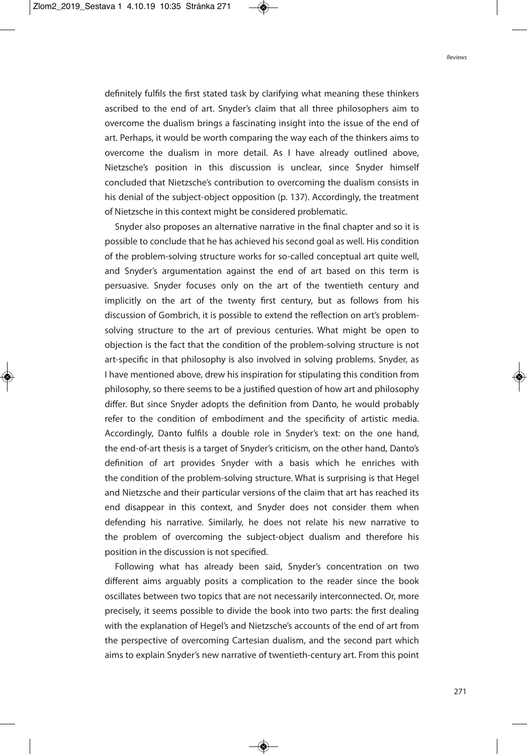definitely fulfils the first stated task by clarifying what meaning these thinkers ascribed to the end of art. Snyder's claim that all three philosophers aim to overcome the dualism brings a fascinating insight into the issue of the end of art. Perhaps, it would be worth comparing the way each of the thinkers aims to overcome the dualism in more detail. As I have already outlined above, Nietzsche's position in this discussion is unclear, since Snyder himself concluded that Nietzsche's contribution to overcoming the dualism consists in his denial of the subject-object opposition (p. 137). Accordingly, the treatment of Nietzsche in this context might be considered problematic.

Snyder also proposes an alternative narrative in the final chapter and so it is possible to conclude that he has achieved his second goal as well. His condition of the problem-solving structure works for so-called conceptual art quite well, and Snyder's argumentation against the end of art based on this term is persuasive. Snyder focuses only on the art of the twentieth century and implicitly on the art of the twenty first century, but as follows from his discussion of Gombrich, it is possible to extend the reflection on art's problemsolving structure to the art of previous centuries. What might be open to objection is the fact that the condition of the problem-solving structure is not art-specific in that philosophy is also involved in solving problems. Snyder, as I have mentioned above, drew his inspiration for stipulating this condition from philosophy, so there seems to be a justified question of how art and philosophy differ. But since Snyder adopts the definition from Danto, he would probably refer to the condition of embodiment and the specificity of artistic media. Accordingly, Danto fulfils a double role in Snyder's text: on the one hand, the end-of-art thesis is a target of Snyder's criticism, on the other hand, Danto's definition of art provides Snyder with a basis which he enriches with the condition of the problem-solving structure. What is surprising is that Hegel and Nietzsche and their particular versions of the claim that art has reached its end disappear in this context, and Snyder does not consider them when defending his narrative. Similarly, he does not relate his new narrative to the problem of overcoming the subject-object dualism and therefore his position in the discussion is not specified.

Following what has already been said, Snyder's concentration on two different aims arguably posits a complication to the reader since the book oscillates between two topics that are not necessarily interconnected. Or, more precisely, it seems possible to divide the book into two parts: the first dealing with the explanation of Hegel's and Nietzsche's accounts of the end of art from the perspective of overcoming Cartesian dualism, and the second part which aims to explain Snyder's new narrative of twentieth-century art. From this point